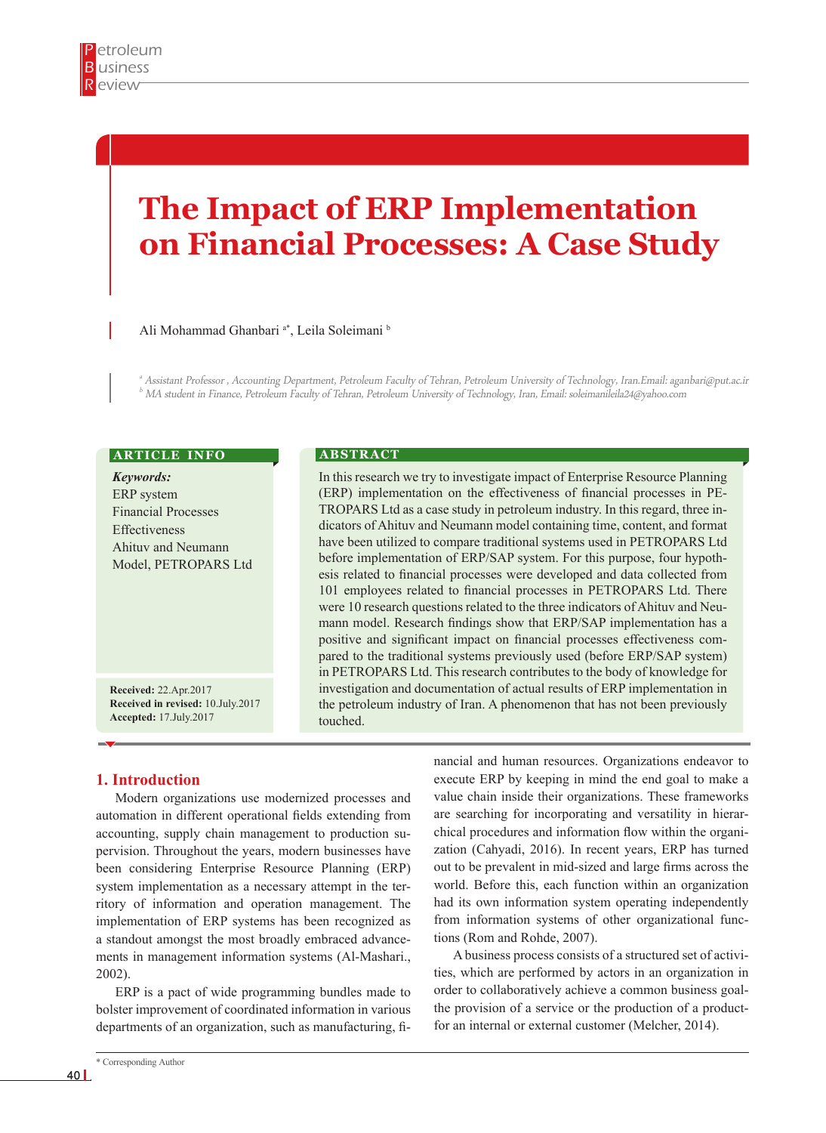# **The Impact of ERP Implementation on Financial Processes: A Case Study**

## Ali Mohammad Ghanbari<sup>a\*</sup>, Leila Soleimani<sup>b</sup>

a Assistant Professor , Accounting Department, Petroleum Faculty of Tehran, Petroleum University of Technology, Iran.Email: aganbari@put.ac.ir  $^b$  MA student in Finance, Petroleum Faculty of Tehran, Petroleum University of Technology, Iran, Email: soleimanileila24@yahoo.com

## **ARTICLE INFO**

*Keywords:* ERP system Financial Processes Effectiveness Ahituv and Neumann Model, PETROPARS Ltd

**Received:** 22.Apr.2017 **Received in revised:** 10.July.2017 **Accepted:** 17.July.2017

### **A B S T R A C T**

In this research we try to investigate impact of Enterprise Resource Planning (ERP) implementation on the effectiveness of financial processes in PE-TROPARS Ltd as a case study in petroleum industry. In this regard, three indicators of Ahituv and Neumann model containing time, content, and format have been utilized to compare traditional systems used in PETROPARS Ltd before implementation of ERP/SAP system. For this purpose, four hypothesis related to financial processes were developed and data collected from 101 employees related to financial processes in PETROPARS Ltd. There were 10 research questions related to the three indicators of Ahituv and Neumann model. Research findings show that ERP/SAP implementation has a positive and significant impact on financial processes effectiveness compared to the traditional systems previously used (before ERP/SAP system) in PETROPARS Ltd. This research contributes to the body of knowledge for investigation and documentation of actual results of ERP implementation in the petroleum industry of Iran. A phenomenon that has not been previously touched.

## **1. Introduction**

Modern organizations use modernized processes and automation in different operational fields extending from accounting, supply chain management to production supervision. Throughout the years, modern businesses have been considering Enterprise Resource Planning (ERP) system implementation as a necessary attempt in the territory of information and operation management. The implementation of ERP systems has been recognized as a standout amongst the most broadly embraced advancements in management information systems (Al-Mashari., 2002).

ERP is a pact of wide programming bundles made to bolster improvement of coordinated information in various departments of an organization, such as manufacturing, fi-

execute ERP by keeping in mind the end goal to make a value chain inside their organizations. These frameworks are searching for incorporating and versatility in hierarchical procedures and information flow within the organization (Cahyadi, 2016). In recent years, ERP has turned out to be prevalent in mid-sized and large firms across the world. Before this, each function within an organization had its own information system operating independently from information systems of other organizational functions (Rom and Rohde, 2007).

nancial and human resources. Organizations endeavor to

A business process consists of a structured set of activities, which are performed by actors in an organization in order to collaboratively achieve a common business goalthe provision of a service or the production of a productfor an internal or external customer (Melcher, 2014).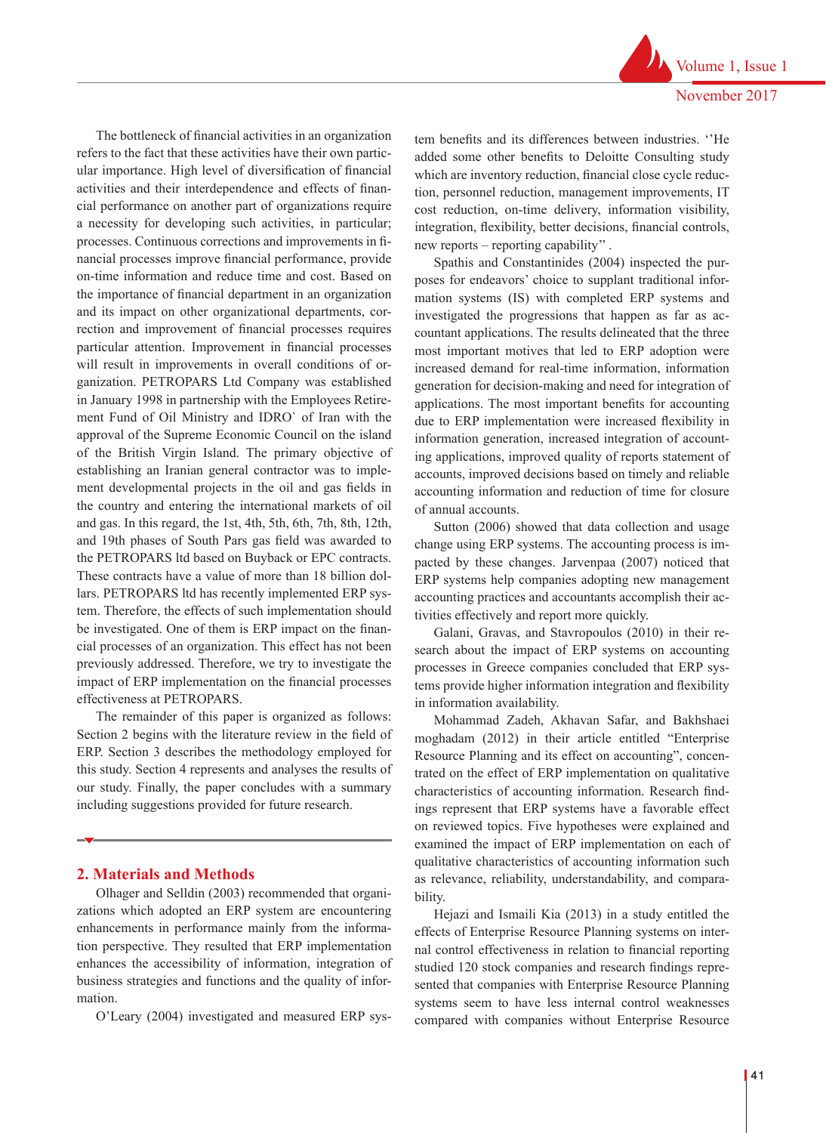The bottleneck of financial activities in an organization refers to the fact that these activities have their own particular importance. High level of diversification of financial activities and their interdependence and effects of financial performance on another part of organizations require a necessity for developing such activities, in particular; processes. Continuous corrections and improvements in financial processes improve financial performance, provide on-time information and reduce time and cost. Based on the importance of financial department in an organization and its impact on other organizational departments, correction and improvement of financial processes requires particular attention. Improvement in financial processes will result in improvements in overall conditions of organization. PETROPARS Ltd Company was established in January 1998 in partnership with the Employees Retirement Fund of Oil Ministry and IDRO` of Iran with the approval of the Supreme Economic Council on the island of the British Virgin Island. The primary objective of establishing an Iranian general contractor was to implement developmental projects in the oil and gas fields in the country and entering the international markets of oil and gas. In this regard, the 1st, 4th, 5th, 6th, 7th, 8th, 12th, and 19th phases of South Pars gas field was awarded to the PETROPARS ltd based on Buyback or EPC contracts. These contracts have a value of more than 18 billion dollars. PETROPARS ltd has recently implemented ERP system. Therefore, the effects of such implementation should be investigated. One of them is ERP impact on the financial processes of an organization. This effect has not been previously addressed. Therefore, we try to investigate the impact of ERP implementation on the financial processes effectiveness at PETROPARS.

The remainder of this paper is organized as follows: Section 2 begins with the literature review in the field of ERP. Section 3 describes the methodology employed for this study. Section 4 represents and analyses the results of our study. Finally, the paper concludes with a summary including suggestions provided for future research.

# **2. Materials and Methods**

Olhager and Selldin (2003) recommended that organizations which adopted an ERP system are encountering enhancements in performance mainly from the information perspective. They resulted that ERP implementation enhances the accessibility of information, integration of business strategies and functions and the quality of information.

O'Leary (2004) investigated and measured ERP sys-

tem benefits and its differences between industries. ''He added some other benefits to Deloitte Consulting study which are inventory reduction, financial close cycle reduction, personnel reduction, management improvements, IT cost reduction, on-time delivery, information visibility, integration, flexibility, better decisions, financial controls, new reports – reporting capability'' .

Spathis and Constantinides (2004) inspected the purposes for endeavors' choice to supplant traditional information systems (IS) with completed ERP systems and investigated the progressions that happen as far as accountant applications. The results delineated that the three most important motives that led to ERP adoption were increased demand for real-time information, information generation for decision-making and need for integration of applications. The most important benefits for accounting due to ERP implementation were increased flexibility in information generation, increased integration of accounting applications, improved quality of reports statement of accounts, improved decisions based on timely and reliable accounting information and reduction of time for closure of annual accounts.

Sutton (2006) showed that data collection and usage change using ERP systems. The accounting process is impacted by these changes. Jarvenpaa (2007) noticed that ERP systems help companies adopting new management accounting practices and accountants accomplish their activities effectively and report more quickly.

Galani, Gravas, and Stavropoulos (2010) in their research about the impact of ERP systems on accounting processes in Greece companies concluded that ERP systems provide higher information integration and flexibility in information availability.

Mohammad Zadeh, Akhavan Safar, and Bakhshaei moghadam (2012) in their article entitled "Enterprise Resource Planning and its effect on accounting", concentrated on the effect of ERP implementation on qualitative characteristics of accounting information. Research findings represent that ERP systems have a favorable effect on reviewed topics. Five hypotheses were explained and examined the impact of ERP implementation on each of qualitative characteristics of accounting information such as relevance, reliability, understandability, and comparability.

Hejazi and Ismaili Kia (2013) in a study entitled the effects of Enterprise Resource Planning systems on internal control effectiveness in relation to financial reporting studied 120 stock companies and research findings represented that companies with Enterprise Resource Planning systems seem to have less internal control weaknesses compared with companies without Enterprise Resource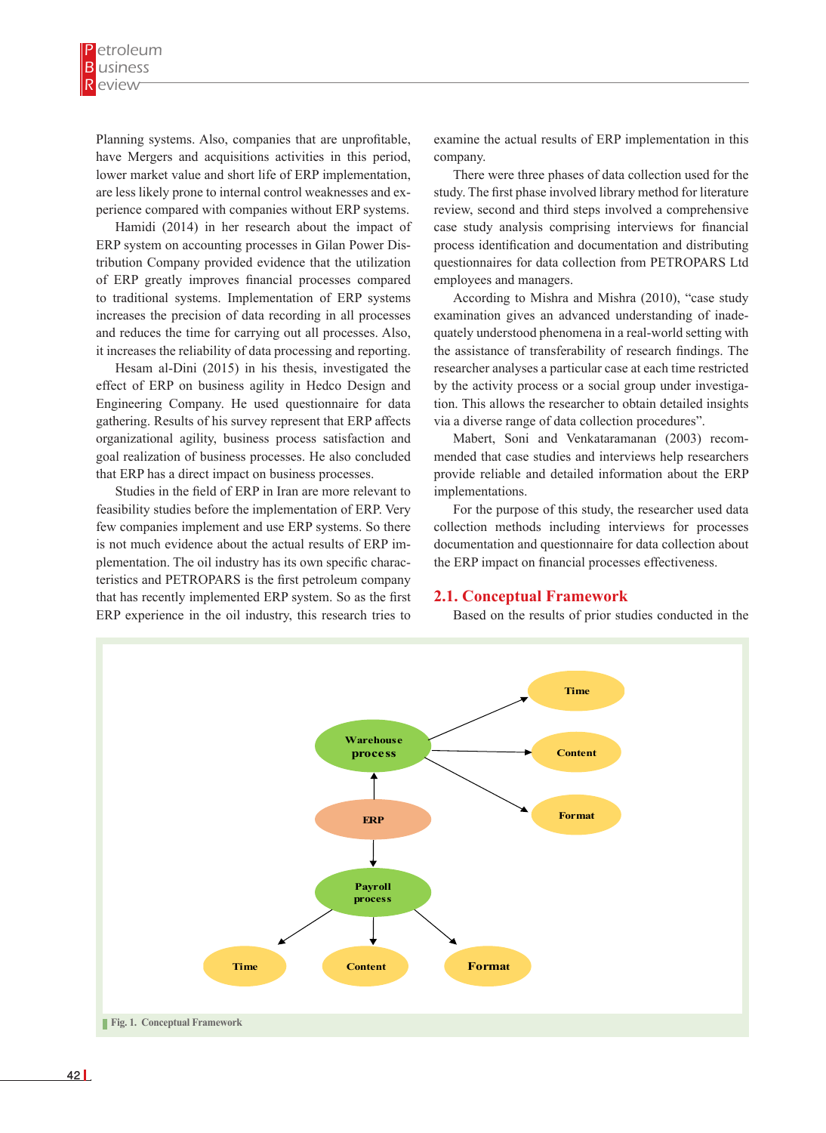Planning systems. Also, companies that are unprofitable, have Mergers and acquisitions activities in this period, lower market value and short life of ERP implementation, are less likely prone to internal control weaknesses and experience compared with companies without ERP systems.

Hamidi (2014) in her research about the impact of ERP system on accounting processes in Gilan Power Distribution Company provided evidence that the utilization of ERP greatly improves financial processes compared to traditional systems. Implementation of ERP systems increases the precision of data recording in all processes and reduces the time for carrying out all processes. Also, it increases the reliability of data processing and reporting.

Hesam al-Dini (2015) in his thesis, investigated the effect of ERP on business agility in Hedco Design and Engineering Company. He used questionnaire for data gathering. Results of his survey represent that ERP affects organizational agility, business process satisfaction and goal realization of business processes. He also concluded that ERP has a direct impact on business processes.

Studies in the field of ERP in Iran are more relevant to feasibility studies before the implementation of ERP. Very few companies implement and use ERP systems. So there is not much evidence about the actual results of ERP implementation. The oil industry has its own specific characteristics and PETROPARS is the first petroleum company that has recently implemented ERP system. So as the first  $2.1.$  Conceptual Framework ERP experience in the oil industry, this research tries to

examine the actual results of ERP implementation in this company.

There were three phases of data collection used for the study. The first phase involved library method for literature review, second and third steps involved a comprehensive case study analysis comprising interviews for financial process identification and documentation and distributing questionnaires for data collection from PETROPARS Ltd employees and managers.

According to Mishra and Mishra (2010), "case study examination gives an advanced understanding of inadequately understood phenomena in a real-world setting with the assistance of transferability of research findings. The researcher analyses a particular case at each time restricted by the activity process or a social group under investigation. This allows the researcher to obtain detailed insights via a diverse range of data collection procedures".

Mabert, Soni and Venkataramanan (2003) recommended that case studies and interviews help researchers provide reliable and detailed information about the ERP implementations.

For the purpose of this study, the researcher used data collection methods including interviews for processes documentation and questionnaire for data collection about the ERP impact on financial processes effectiveness.

## **2.1. Conceptual Framework**

Based on the results of prior studies conducted in the

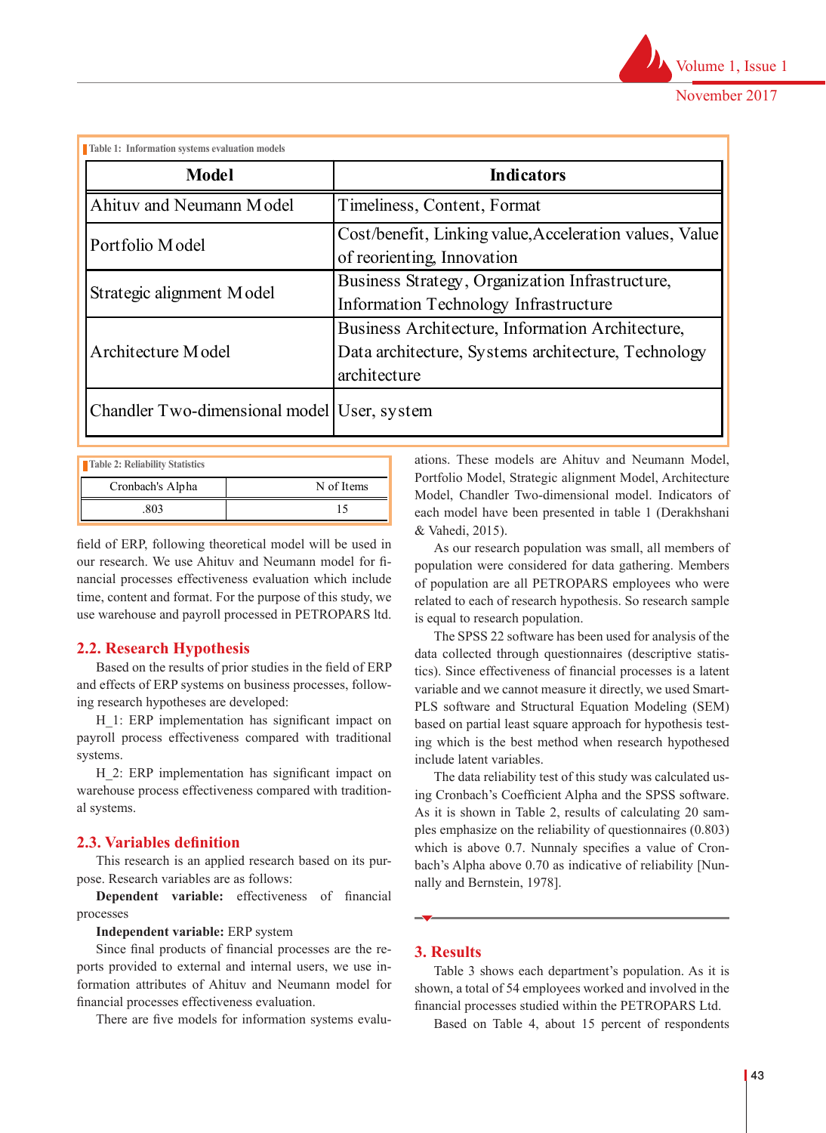

| <b>Model</b>                                | <b>Indicators</b>                                                                                                       |  |  |  |
|---------------------------------------------|-------------------------------------------------------------------------------------------------------------------------|--|--|--|
| Ahituv and Neumann Model                    | Timeliness, Content, Format                                                                                             |  |  |  |
| Portfolio Model                             | Cost/benefit, Linking value, Acceleration values, Value<br>of reorienting, Innovation                                   |  |  |  |
| Strategic alignment Model                   | Business Strategy, Organization Infrastructure,<br>Information Technology Infrastructure                                |  |  |  |
| Architecture Model                          | Business Architecture, Information Architecture,<br>Data architecture, Systems architecture, Technology<br>architecture |  |  |  |
| Chandler Two-dimensional model User, system |                                                                                                                         |  |  |  |

| Table 2: Reliability Statistics |            |
|---------------------------------|------------|
| Cronbach's Alpha                | N of Items |
| 803                             |            |

field of ERP, following theoretical model will be used in our research. We use Ahituv and Neumann model for financial processes effectiveness evaluation which include  $t$  time, content and format. For the purpose of this study, we related to each of research hyperstructure,  $t$  and  $t$  and  $t$  and  $t$  and  $t$  and  $t$  and  $t$  and  $t$  and  $t$  and  $t$  and  $t$  and  $t$  and  $t$  and  $t$  and the studies warehouse and payroll processed in PETROPARS ltd.

# **2.2. Research Hypothesis**

[Nunnally and Bernstein, 1978].

Based on the results of prior studies in the field of ERP and effects of ERP systems on business processes, follow-<br>variable and we c ing research hypotheses are developed: PLS software and

H 1: ERP implementation has significant impact on payroll process effectiveness compared with traditional systems. systems.<br>Based on table 4, about 15 percent of response include latent variables.

H\_2: ERP implementation has significant impact on  $\frac{11}{2}$ . EXT implementation has significant impact on The data reliability test of two arehouse process effectiveness compared with traditional systems. work in financial management department.

# **2.3. Variables definition**

This research is an applied research based on its purpose. Research variables are as follows:

**Dependent variable:** effectiveness of financial processes

**Independent variable:** ERP system

Since final products of financial processes are the re- $\overline{3}$ . **Results** ports provided to external and internal users, we use in-<br>Table 3 shows formation attributes of Ahituv and Neumann model for shown a total of  $\frac{1}{2}$ financial processes effectiveness evaluation. The financial processes

There are five models for information systems evalu-<br>Based on Tab

ations. These models are Ahituv and Neumann Model, Portfolio Model, Strategic alignment Model, Architecture Model, Chandler Two-dimensional model. Indicators of each model have been presented in table 1 (Derakhshani & Vahedi, 2015).

5 As our research population was small, all members of population were considered for data gathering. Members of population are all PETROPARS employees who were related to each of research hypothesis. So research sample is equal to research population.

The SPSS 22 software has been used for analysis of the **Typothesis** data collected through questionnaires (descriptive statistics). Since effectiveness of financial processes is a latent variable and we cannot measure it directly, we used Smart-PLS software and Structural Equation Modeling (SEM) based on partial least square approach for hypothesis testing which is the best method when research hypothesed

The data reliability test of this study was calculated uswarehouse process effectiveness compared with tradition-<br>playetems. As it is shown in Table 2, results of calculating 20 samples emphasize on the reliability of questionnaires (0.803) which is above 0.7. Nunnaly specifies a value of Cronbach's Alpha above 0.70 as indicative of reliability [Nunnally and Bernstein, 1978].

# **3. Results**

Percent

Table 3 shows each department's population. As it is shown, a total of 54 employees worked and involved in the financial processes studied within the PETROPARS Ltd.

Based on Table 4, about 15 percent of respondents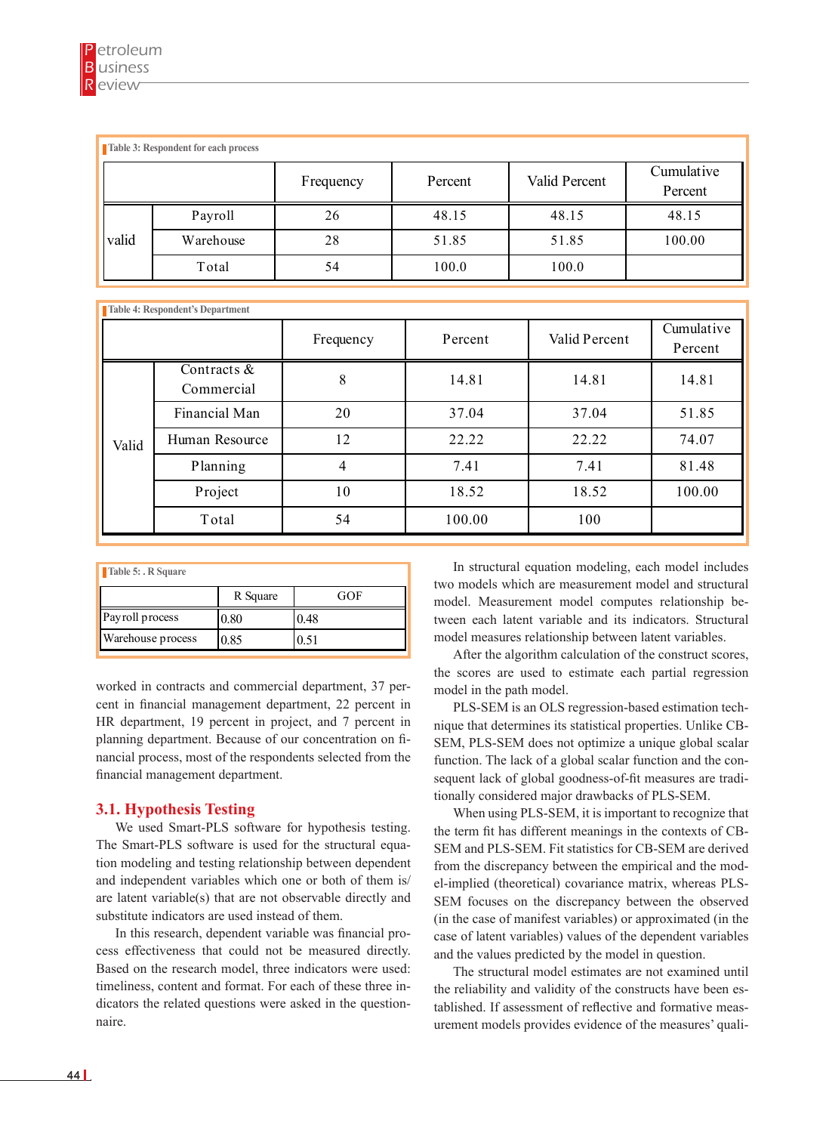|       | Table 3: Respondent for each process | Frequency | Percent | Valid Percent | Cumulative<br>Percent |
|-------|--------------------------------------|-----------|---------|---------------|-----------------------|
|       | Payroll                              | 26        | 48.15   | 48.15         | 48.15                 |
| valid | Warehouse                            | 28        | 51.85   | 51.85         | 100.00                |
|       | Total                                | 54        | 100.0   | 100.0         |                       |

Warehouse 28 51.85 51.85 51.85 100.000 51.85 51.85 51.85 51.85 51.85 51.85 51.85 100.000 51.85 51.85 51.85 100

|       |                              | Frequency | Percent | Valid Percent | Cumulative<br>Percent |
|-------|------------------------------|-----------|---------|---------------|-----------------------|
|       | Contracts $\&$<br>Commercial | 8         | 14.81   | 14.81         | 14.81                 |
| Valid | Financial Man                | 20        | 37.04   | 37.04         | 51.85                 |
|       | Human Resource               | 12        | 22.22   | 22.22         | 74.07                 |
|       | Planning                     | 4         | 7.41    | 7.41          | 81.48                 |
|       | Project                      | 10        | 18.52   | 18.52         | 100.00                |
|       | Total                        | 54        | 100.00  | 100           |                       |

| Table 5: R Square        |          |      |  |  |  |  |
|--------------------------|----------|------|--|--|--|--|
|                          | R Square | GOF  |  |  |  |  |
| Payroll process          | 0.80     | 0.48 |  |  |  |  |
| <b>Warehouse process</b> | 0.85     | 351  |  |  |  |  |

worked in contracts and commercial department, 37 percent in financial management department, 22 percent in PLSplanning department. Because of our concentration on financial process, most of the respondents selected from the fu financial management department. HR department, 19 percent in project, and 7 percent in

#### Format-p 11 1 **3.1. Hypothesis Testing**

Time-p 11 1 We used Smart-PLS software for hypothesis testing. The Smart-PLS software is used for the structural equa-<br>SI tion modeling and testing relationship between dependent  $f_{\text{fr}a}$ and independent variables which one or both of them is/ $\begin{bmatrix} 1 & 1 \\ 2 & 1 \end{bmatrix}$ are latent variable(s) that are not observable directly and substitute indicators are used instead of them.

> based on the research model, three meliodes were used.<br>timeliness, content and format. For each of these three in-In this research, dependent variable was financial process effectiveness that could not be measured directly. Based on the research model, three indicators were used: dicators the related questions were asked in the questionnaire.

Financial Manuscritics and Taurancial Manuscritics and Taurancial equation modeling, each model includes  $\begin{bmatrix} 1 & 2 \\ 2 & 3 \end{bmatrix}$  two models which are measurement model and structural **Planning 1.41** and the tween each latent variable and its indicators. Structural 0.85 10.51 10.85 10.51 10.85 10.51 10.85 model. Measurement model computes relationship be-

After the algorithm calculation of the construct scores, the scores are used to estimate each partial regression model in the path model.

> in nique that determines its statistical properties. Unlike CB-PLS-SEM is an OLS regression-based estimation tech-SEM, PLS-SEM does not optimize a unique global scalar function. The lack of a global scalar function and the consequent lack of global goodness-of-fit measures are traditionally considered major drawbacks of PLS-SEM.

> > When using PLS-SEM, it is important to recognize that the term fit has different meanings in the contexts of CB-SEM and PLS-SEM. Fit statistics for CB-SEM are derived from the discrepancy between the empirical and the model-implied (theoretical) covariance matrix, whereas PLS-SEM focuses on the discrepancy between the observed (in the case of manifest variables) or approximated (in the case of latent variables) values of the dependent variables and the values predicted by the model in question.

> > The structural model estimates are not examined until the reliability and validity of the constructs have been established. If assessment of reflective and formative measurement models provides evidence of the measures' quali-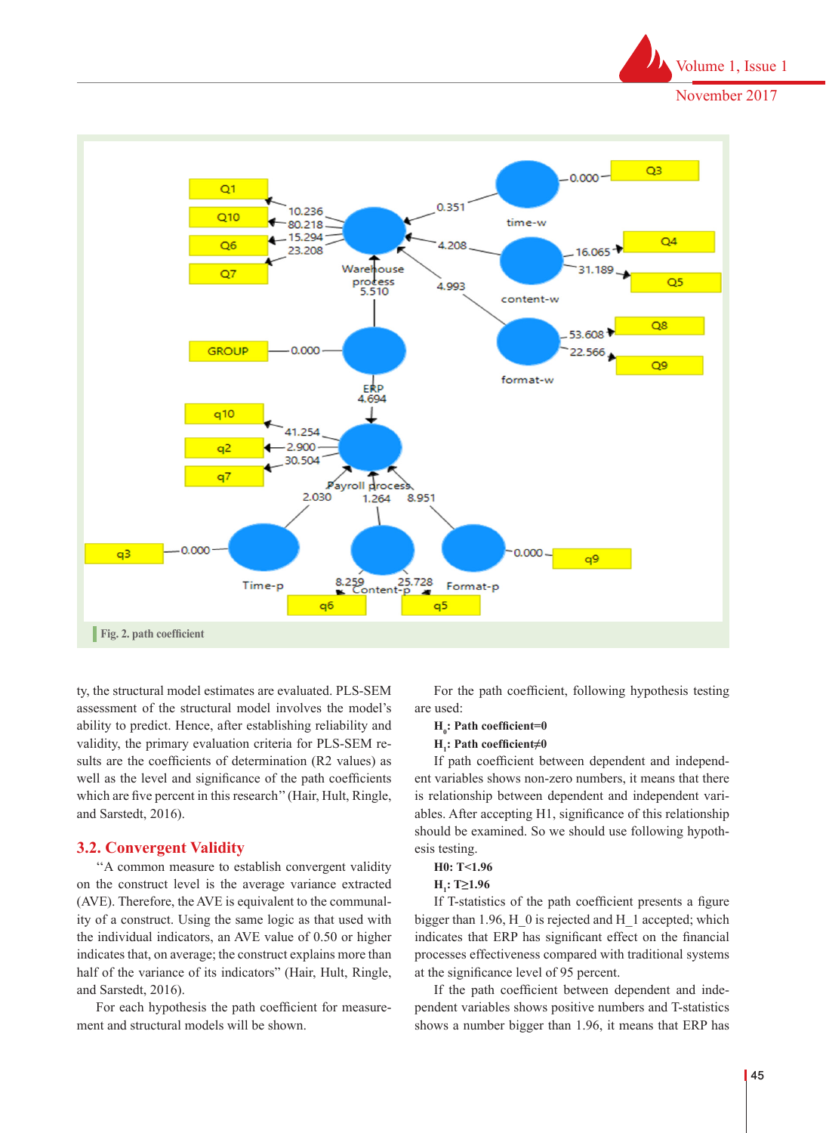



sults are the coefficients of determination (R2 values) as ty, the structural model estimates are evaluated. PLS-SEM assessment of the structural model involves the model's ability to predict. Hence, after establishing reliability and validity, the primary evaluation criteria for PLS-SEM rewell as the level and significance of the path coefficients which are five percent in this research'' (Hair, Hult, Ringle, and Sarstedt, 2016).

# **3.2. Convergent Validity**

''A common measure to establish convergent validity on the construct level is the average variance extracted (AVE). Therefore, the AVE is equivalent to the communality of a construct. Using the same logic as that used with the individual indicators, an AVE value of 0.50 or higher indicates that, on average; the construct explains more than half of the variance of its indicators" (Hair, Hult, Ringle, and Sarstedt, 2016).

For each hypothesis the path coefficient for measurement and structural models will be shown.

For the path coefficient, following hypothesis testing are used:

# **H**<sub>0</sub>: Path coefficient=0

## **H1 : Path coefficient≠0**

If path coefficient between dependent and independent variables shows non-zero numbers, it means that there is relationship between dependent and independent variables. After accepting H1, significance of this relationship should be examined. So we should use following hypothesis testing.

# **H0: T<1.96**

## **H**<sub>1</sub>: **T≥1.96**

If T-statistics of the path coefficient presents a figure bigger than 1.96, H\_0 is rejected and H\_1 accepted; which indicates that ERP has significant effect on the financial processes effectiveness compared with traditional systems at the significance level of 95 percent.

If the path coefficient between dependent and independent variables shows positive numbers and T-statistics shows a number bigger than 1.96, it means that ERP has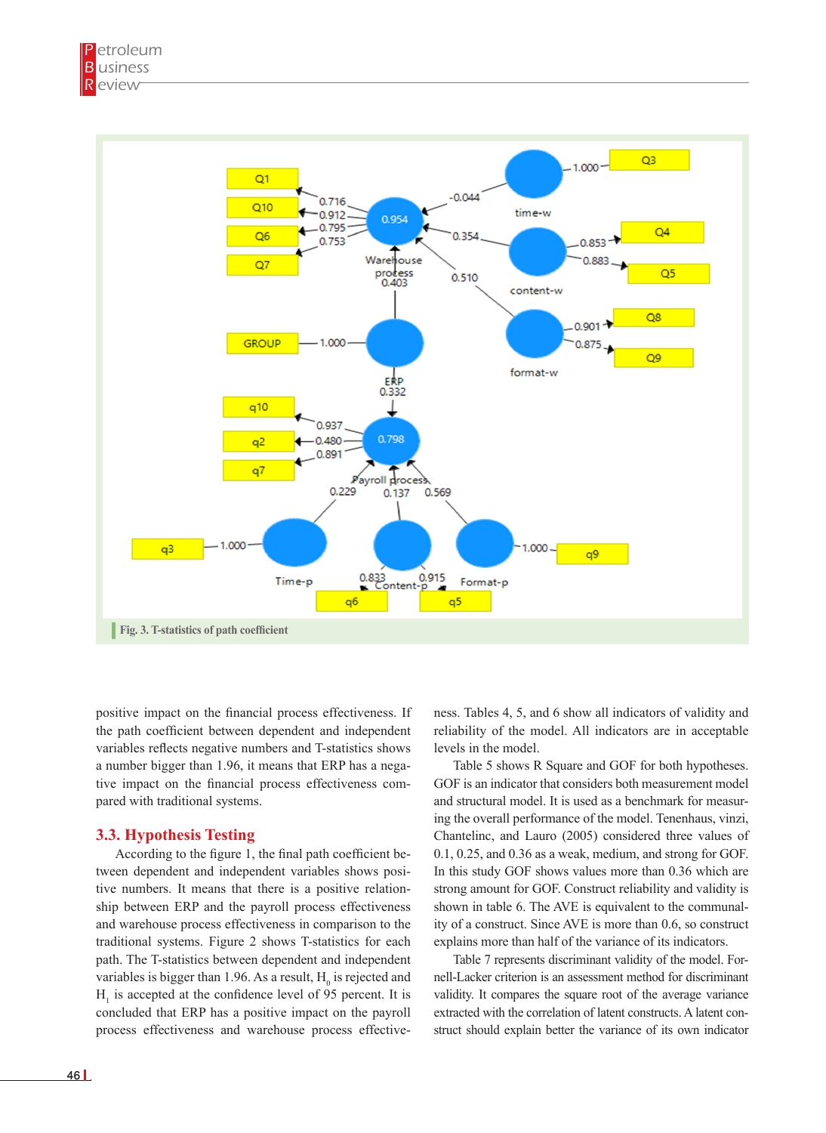

the path coefficient between dependent and independent reliability of variables reflects negative numbers and T-statistics shows a number bigger than 1.96, it means that ERP has a negative impact on the financial process effectiveness com-<br>need with traditional systems. pared with traditional systems.

# **3.3. Hypothesis Testing**

According to the figure 1, the final path coefficient be- $0.1, 0.1$ tween dependent and independent variables shows posi- In this tive numbers. It means that there is a positive relationship between ERP and the payroll process effectiveness and warehouse process effectiveness in comparison to the ity of a construct. Since traditional systems. Figure 2 shows T-statistics for each path. The T-statistics between dependent and independent variables is bigger than 1.96. As a result,  $H_0$  is rejected and  $H_1$  is accepted at the confidence level of 95 percent. It is validity. It compares the square roo concluded that ERP has a positive impact on the payroll extracted with the correlation of latent process effectiveness and warehouse process effective-<br>struct should explain better the varian

positive impact on the financial process effectiveness. If ness. Tables 4, 5, and 6 show all indicators of validity and ness. Tables 4, 5, and 6 show all indicators of validity and reliability of the model. All indicators are in acceptable levels in the model.

> Table 5 shows R Square and GOF for both hypotheses. GOF is an indicator that considers both measurement model and structural model. It is used as a benchmark for measuring the overall performance of the model. Tenenhaus, vinzi, Chantelinc, and Lauro (2005) considered three values of 0.1, 0.25, and 0.36 as a weak, medium, and strong for GOF. In this study GOF shows values more than 0.36 which are strong amount for GOF. Construct reliability and validity is shown in table 6. The AVE is equivalent to the communality of a construct. Since AVE is more than 0.6, so construct explains more than half of the variance of its indicators.

Table 7 represents discriminant validity of the model. For-<br>
Table 7 represents discriminant validity of the model. Fornell-Lacker criterion is an assessment method for discriminant validity. It compares the square root of the average variance extracted with the correlation of latent constructs. A latent construct should explain better the variance of its own indicator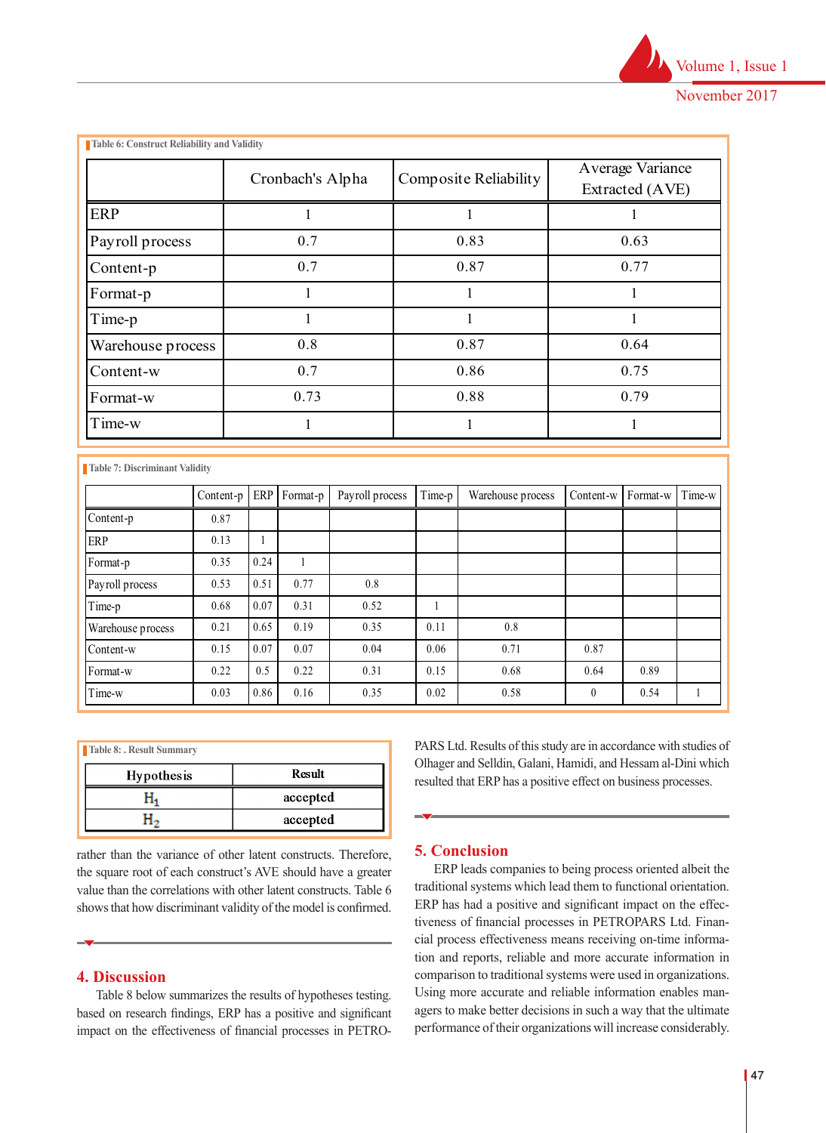|                   | Cronbach's Alpha | Composite Reliability | Average Variance<br>Extracted (AVE) |  |
|-------------------|------------------|-----------------------|-------------------------------------|--|
| <b>ERP</b>        |                  |                       |                                     |  |
| Payroll process   | 0.7              | 0.83                  | 0.63                                |  |
| Content-p         | 0.7              | 0.87                  | 0.77                                |  |
| Format-p          |                  |                       |                                     |  |
| Time-p            |                  |                       |                                     |  |
| Warehouse process | 0.8              | 0.87                  | 0.64                                |  |
| Content-w         | 0.7              | 0.86                  | 0.75                                |  |
| Format-w          | 0.73             | 0.88                  | 0.79                                |  |
| Time-w            |                  |                       |                                     |  |

Warehouse process 0.85 0.51

**Table 7: Discriminant Validity** Payroll process 0.53 0.51 0.77 0.8

|                   | Content-p ERP Format-p |      |      | Payroll process | Time-p | Warehouse process | Content-w    | Format-w | Time-w |
|-------------------|------------------------|------|------|-----------------|--------|-------------------|--------------|----------|--------|
| Content-p         | 0.87                   |      |      |                 |        |                   |              |          |        |
| <b>ERP</b>        | 0.13                   |      |      |                 |        |                   |              |          |        |
| Format-p          | 0.35                   | 0.24 |      |                 |        |                   |              |          |        |
| Payroll process   | 0.53                   | 0.51 | 0.77 | 0.8             |        |                   |              |          |        |
| Time-p            | 0.68                   | 0.07 | 0.31 | 0.52            |        |                   |              |          |        |
| Warehouse process | 0.21                   | 0.65 | 0.19 | 0.35            | 0.11   | 0.8               |              |          |        |
| Content-w         | 0.15                   | 0.07 | 0.07 | 0.04            | 0.06   | 0.71              | 0.87         |          |        |
| Format-w          | 0.22                   | 0.5  | 0.22 | 0.31            | 0.15   | 0.68              | 0.64         | 0.89     |        |
| ime-w             | 0.03                   | 0.86 | 0.16 | 0.35            | 0.02   | 0.58              | $\mathbf{0}$ | 0.54     |        |

| Table 8: . Result Summary |          | PARS Ltd. Results of this study are in accordance with studies of                                                               |
|---------------------------|----------|---------------------------------------------------------------------------------------------------------------------------------|
| <b>Hypothesis</b>         | Result   | Olhager and Selldin, Galani, Hamidi, and Hessam al-Dini which<br>resulted that ERP has a positive effect on business processes. |
| n,                        | accepted |                                                                                                                                 |
| п,                        | accepted | $\overline{\phantom{a}}$                                                                                                        |

rather than the variance of other latent constructs. Therefore, **5. Conclusion** the square root of each construct's AVE should have a greater  $ERP$  h value than the correlations with other latent constructs. Table 6 shows that how discriminant validity of the model is confirmed. ERP has had a positive and

# **4. Discussion**

Table 8 below summarizes the results of hypotheses testing. hased on research findings, ERP has a positive and significant agers to make better decision impact on the effectiveness of financial processes in PETRO- performance of their organizity

PARS Ltd. Results of this study are in accordance with studies of Olhager and Selldin, Galani, Hamidi, and Hessam al-Dini which resulted that ERP has a positive effect on business processes.

# **5. Conclusion**

ERP leads companies to being process oriented albeit the traditional systems which lead them to functional orientation. ERP has had a positive and significant impact on the effectiveness of financial processes in PETROPARS Ltd. Finan- $\blacktriangleright$  cial process effectiveness means receiving on-time information and reports, reliable and more accurate information in comparison to traditional systems were used in organizations. Using more accurate and reliable information enables managers to make better decisions in such a way that the ultimate performance of their organizations will increase considerably. **4. DISCUSSION** Comparison to traditional system